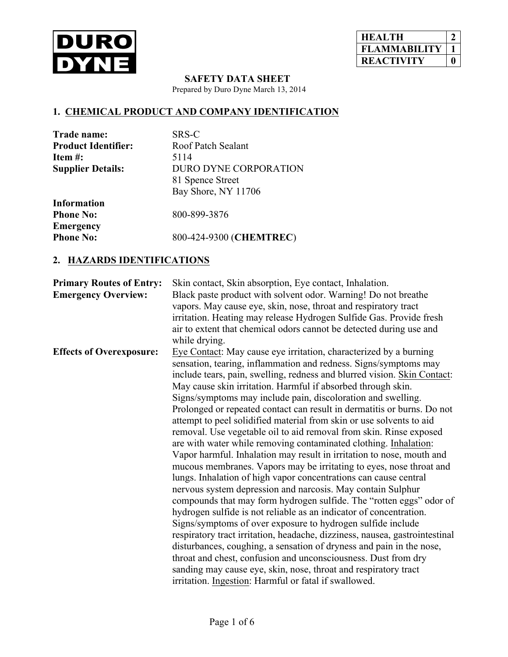

| <b>HEALTH</b>      |  |
|--------------------|--|
| <b>FLAMMABILIT</b> |  |
| <b>REACTIVITY</b>  |  |

 **SAFETY DATA SHEET**

Prepared by Duro Dyne March 13, 2014

# **1. CHEMICAL PRODUCT AND COMPANY IDENTIFICATION**

| Trade name:                | SRS-C                   |
|----------------------------|-------------------------|
| <b>Product Identifier:</b> | Roof Patch Sealant      |
| Item $#$ :                 | 5114                    |
| <b>Supplier Details:</b>   | DURO DYNE CORPORATION   |
|                            | 81 Spence Street        |
|                            | Bay Shore, NY 11706     |
| <b>Information</b>         |                         |
| <b>Phone No:</b>           | 800-899-3876            |
| <b>Emergency</b>           |                         |
| <b>Phone No:</b>           | 800-424-9300 (CHEMTREC) |
|                            |                         |

#### **2. HAZARDS IDENTIFICATIONS**

| <b>Primary Routes of Entry:</b> | Skin contact, Skin absorption, Eye contact, Inhalation.                     |
|---------------------------------|-----------------------------------------------------------------------------|
| <b>Emergency Overview:</b>      | Black paste product with solvent odor. Warning! Do not breathe              |
|                                 | vapors. May cause eye, skin, nose, throat and respiratory tract             |
|                                 | irritation. Heating may release Hydrogen Sulfide Gas. Provide fresh         |
|                                 | air to extent that chemical odors cannot be detected during use and         |
|                                 | while drying.                                                               |
| <b>Effects of Overexposure:</b> | Eye Contact: May cause eye irritation, characterized by a burning           |
|                                 | sensation, tearing, inflammation and redness. Signs/symptoms may            |
|                                 | include tears, pain, swelling, redness and blurred vision. Skin Contact:    |
|                                 | May cause skin irritation. Harmful if absorbed through skin.                |
|                                 | Signs/symptoms may include pain, discoloration and swelling.                |
|                                 | Prolonged or repeated contact can result in dermatitis or burns. Do not     |
|                                 | attempt to peel solidified material from skin or use solvents to aid        |
|                                 | removal. Use vegetable oil to aid removal from skin. Rinse exposed          |
|                                 | are with water while removing contaminated clothing. Inhalation:            |
|                                 | Vapor harmful. Inhalation may result in irritation to nose, mouth and       |
|                                 | mucous membranes. Vapors may be irritating to eyes, nose throat and         |
|                                 | lungs. Inhalation of high vapor concentrations can cause central            |
|                                 | nervous system depression and narcosis. May contain Sulphur                 |
|                                 | compounds that may form hydrogen sulfide. The "rotten eggs" odor of         |
|                                 | hydrogen sulfide is not reliable as an indicator of concentration.          |
|                                 | Signs/symptoms of over exposure to hydrogen sulfide include                 |
|                                 | respiratory tract irritation, headache, dizziness, nausea, gastrointestinal |
|                                 | disturbances, coughing, a sensation of dryness and pain in the nose,        |
|                                 | throat and chest, confusion and unconsciousness. Dust from dry              |
|                                 | sanding may cause eye, skin, nose, throat and respiratory tract             |
|                                 | irritation. Ingestion: Harmful or fatal if swallowed.                       |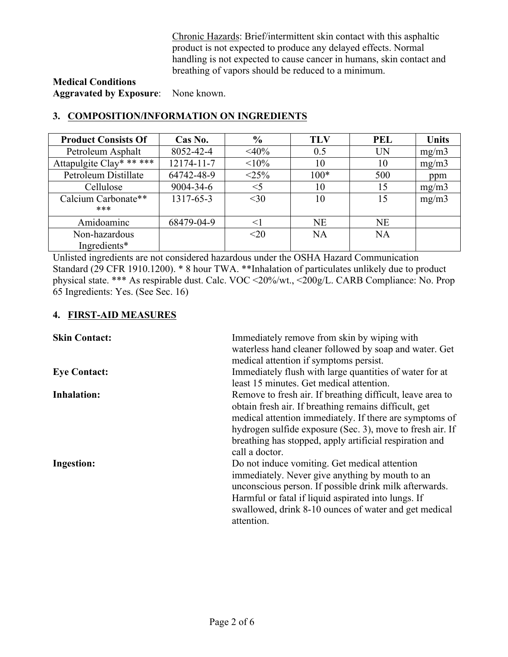Chronic Hazards: Brief/intermittent skin contact with this asphaltic product is not expected to produce any delayed effects. Normal handling is not expected to cause cancer in humans, skin contact and breathing of vapors should be reduced to a minimum.

#### **Medical Conditions Aggravated by Exposure**: None known.

| <b>Product Consists Of</b> | Cas No.    | $\frac{0}{0}$ | <b>TLV</b> | <b>PEL</b> | <b>Units</b> |
|----------------------------|------------|---------------|------------|------------|--------------|
| Petroleum Asphalt          | 8052-42-4  | $<\!\!40\!\%$ | 0.5        | UN         | mg/m3        |
| Attapulgite Clay* ** ***   | 12174-11-7 | <10%          | 10         | 10         | mg/m3        |
| Petroleum Distillate       | 64742-48-9 | <25%          | $100*$     | 500        | ppm          |
| Cellulose                  | 9004-34-6  | $<$ 5         | 10         | 15         | mg/m3        |
| Calcium Carbonate**        | 1317-65-3  | $<$ 30        | 10         | 15         | mg/m3        |
| ***                        |            |               |            |            |              |
| Amidoaminc                 | 68479-04-9 | $<$ 1         | <b>NE</b>  | <b>NE</b>  |              |
| Non-hazardous              |            | $<$ 20        | NA         | NA         |              |
| Ingredients*               |            |               |            |            |              |

# **3. COMPOSITION/INFORMATION ON INGREDIENTS**

Unlisted ingredients are not considered hazardous under the OSHA Hazard Communication Standard (29 CFR 1910.1200). \* 8 hour TWA. \*\*Inhalation of particulates unlikely due to product physical state. \*\*\* As respirable dust. Calc. VOC <20%/wt., <200g/L. CARB Compliance: No. Prop 65 Ingredients: Yes. (See Sec. 16)

### **4. FIRST-AID MEASURES**

| <b>Skin Contact:</b> | Immediately remove from skin by wiping with<br>waterless hand cleaner followed by soap and water. Get<br>medical attention if symptoms persist.                                                                                                                                                                          |
|----------------------|--------------------------------------------------------------------------------------------------------------------------------------------------------------------------------------------------------------------------------------------------------------------------------------------------------------------------|
| <b>Eye Contact:</b>  | Immediately flush with large quantities of water for at<br>least 15 minutes. Get medical attention.                                                                                                                                                                                                                      |
| <b>Inhalation:</b>   | Remove to fresh air. If breathing difficult, leave area to<br>obtain fresh air. If breathing remains difficult, get<br>medical attention immediately. If there are symptoms of<br>hydrogen sulfide exposure (Sec. 3), move to fresh air. If<br>breathing has stopped, apply artificial respiration and<br>call a doctor. |
| <b>Ingestion:</b>    | Do not induce vomiting. Get medical attention<br>immediately. Never give anything by mouth to an<br>unconscious person. If possible drink milk afterwards.<br>Harmful or fatal if liquid aspirated into lungs. If<br>swallowed, drink 8-10 ounces of water and get medical<br>attention.                                 |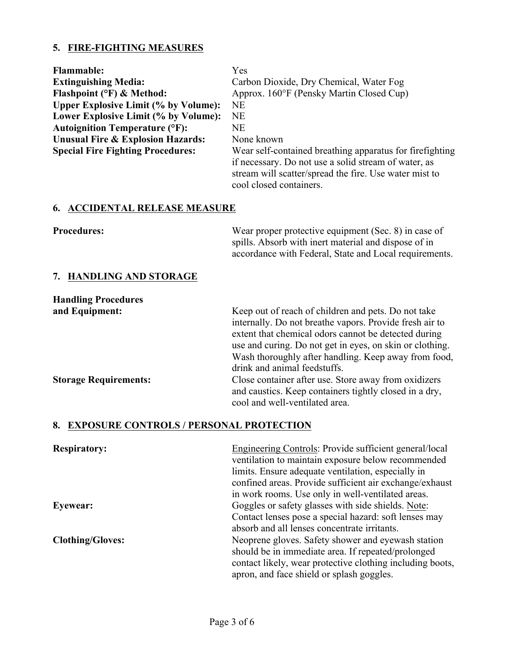# **5. FIRE-FIGHTING MEASURES**

| <b>Flammable:</b><br><b>Extinguishing Media:</b><br>Flashpoint (°F) & Method:<br><b>Upper Explosive Limit (% by Volume):</b><br>Lower Explosive Limit (% by Volume):<br><b>Autoignition Temperature (°F):</b><br><b>Unusual Fire &amp; Explosion Hazards:</b><br><b>Special Fire Fighting Procedures:</b> | Yes<br>Carbon Dioxide, Dry Chemical, Water Fog<br>Approx. 160°F (Pensky Martin Closed Cup)<br><b>NE</b><br><b>NE</b><br><b>NE</b><br>None known<br>Wear self-contained breathing apparatus for firefighting<br>if necessary. Do not use a solid stream of water, as<br>stream will scatter/spread the fire. Use water mist to<br>cool closed containers.                                                                                                                       |
|-----------------------------------------------------------------------------------------------------------------------------------------------------------------------------------------------------------------------------------------------------------------------------------------------------------|--------------------------------------------------------------------------------------------------------------------------------------------------------------------------------------------------------------------------------------------------------------------------------------------------------------------------------------------------------------------------------------------------------------------------------------------------------------------------------|
| <b>6. ACCIDENTAL RELEASE MEASURE</b>                                                                                                                                                                                                                                                                      |                                                                                                                                                                                                                                                                                                                                                                                                                                                                                |
| <b>Procedures:</b>                                                                                                                                                                                                                                                                                        | Wear proper protective equipment (Sec. 8) in case of<br>spills. Absorb with inert material and dispose of in<br>accordance with Federal, State and Local requirements.                                                                                                                                                                                                                                                                                                         |
| 7. HANDLING AND STORAGE                                                                                                                                                                                                                                                                                   |                                                                                                                                                                                                                                                                                                                                                                                                                                                                                |
| <b>Handling Procedures</b>                                                                                                                                                                                                                                                                                |                                                                                                                                                                                                                                                                                                                                                                                                                                                                                |
| and Equipment:<br><b>Storage Requirements:</b>                                                                                                                                                                                                                                                            | Keep out of reach of children and pets. Do not take<br>internally. Do not breathe vapors. Provide fresh air to<br>extent that chemical odors cannot be detected during<br>use and curing. Do not get in eyes, on skin or clothing.<br>Wash thoroughly after handling. Keep away from food,<br>drink and animal feedstuffs.<br>Close container after use. Store away from oxidizers<br>and caustics. Keep containers tightly closed in a dry,<br>cool and well-ventilated area. |
| 8. EXPOSURE CONTROLS / PERSONAL PROTECTION                                                                                                                                                                                                                                                                |                                                                                                                                                                                                                                                                                                                                                                                                                                                                                |
| <b>Respiratory:</b>                                                                                                                                                                                                                                                                                       | <b>Engineering Controls: Provide sufficient general/local</b><br>ventilation to maintain exposure below recommended<br>limits. Ensure adequate ventilation, especially in<br>confined areas. Provide sufficient air exchange/exhaust<br>in work rooms. Use only in well-ventilated areas.                                                                                                                                                                                      |
| Eyewear:                                                                                                                                                                                                                                                                                                  | Goggles or safety glasses with side shields. Note:<br>Contact lenses pose a special hazard: soft lenses may<br>absorb and all lenses concentrate irritants.                                                                                                                                                                                                                                                                                                                    |
| $Clof$ hing/Claves                                                                                                                                                                                                                                                                                        | Negarang gloves Safety shower and evenigth station                                                                                                                                                                                                                                                                                                                                                                                                                             |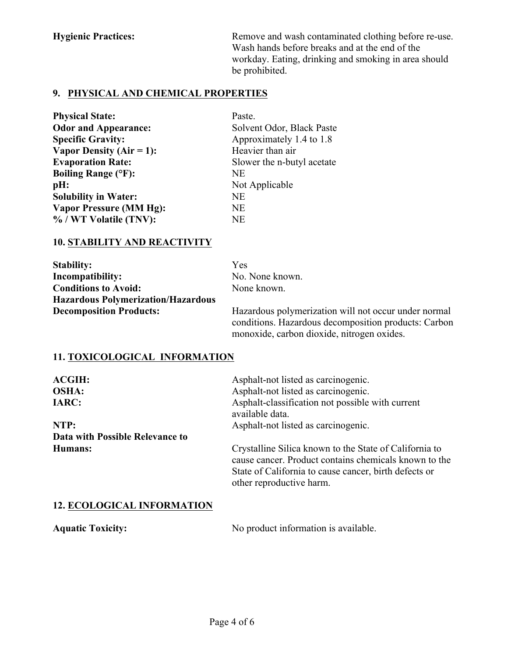**Hygienic Practices:** Remove and wash contaminated clothing before re-use. Wash hands before breaks and at the end of the workday. Eating, drinking and smoking in area should be prohibited.

### **9. PHYSICAL AND CHEMICAL PROPERTIES**

| <b>Physical State:</b>         | Paste.                     |
|--------------------------------|----------------------------|
| <b>Odor and Appearance:</b>    | Solvent Odor, Black Paste  |
| <b>Specific Gravity:</b>       | Approximately 1.4 to 1.8   |
| Vapor Density (Air = 1):       | Heavier than air           |
| <b>Evaporation Rate:</b>       | Slower the n-butyl acetate |
| <b>Boiling Range (°F):</b>     | NE.                        |
| pH:                            | Not Applicable             |
| <b>Solubility in Water:</b>    | NE                         |
| <b>Vapor Pressure (MM Hg):</b> | <b>NE</b>                  |
| % / WT Volatile (TNV):         | <b>NE</b>                  |

### **10. STABILITY AND REACTIVITY**

| <b>Stability:</b>                         | Yes |
|-------------------------------------------|-----|
| Incompatibility:                          | No. |
| <b>Conditions to Avoid:</b>               | Nor |
| <b>Hazardous Polymerization/Hazardous</b> |     |
| <b>Decomposition Products:</b>            | Haz |

No. None known. None known.

Hazardous polymerization will not occur under normal conditions. Hazardous decomposition products: Carbon monoxide, carbon dioxide, nitrogen oxides.

## **11. TOXICOLOGICAL INFORMATION**

| Asphalt-not listed as carcinogenic.                                                                                                                                                                  |
|------------------------------------------------------------------------------------------------------------------------------------------------------------------------------------------------------|
| Asphalt-not listed as carcinogenic.                                                                                                                                                                  |
| Asphalt-classification not possible with current<br>available data.                                                                                                                                  |
| Asphalt-not listed as carcinogenic.                                                                                                                                                                  |
|                                                                                                                                                                                                      |
| Crystalline Silica known to the State of California to<br>cause cancer. Product contains chemicals known to the<br>State of California to cause cancer, birth defects or<br>other reproductive harm. |
|                                                                                                                                                                                                      |

### **12. ECOLOGICAL INFORMATION**

Aquatic Toxicity: No product information is available.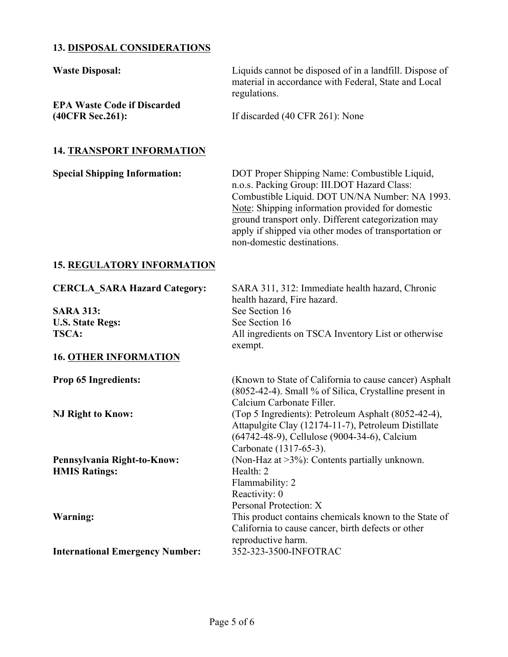### **13. DISPOSAL CONSIDERATIONS**

**Waste Disposal:** Liquids cannot be disposed of in a landfill. Dispose of material in accordance with Federal, State and Local regulations. **EPA Waste Code if Discarded (40CFR Sec.261):** If discarded (40 CFR 261): None **14. TRANSPORT INFORMATION Special Shipping Information:** DOT Proper Shipping Name: Combustible Liquid, n.o.s. Packing Group: III.DOT Hazard Class: Combustible Liquid. DOT UN/NA Number: NA 1993. Note: Shipping information provided for domestic ground transport only. Different categorization may apply if shipped via other modes of transportation or non-domestic destinations. **15. REGULATORY INFORMATION**

### **CERCLA\_SARA Hazard Category:** SARA 311, 312: Immediate health hazard, Chronic health hazard, Fire hazard. **SARA 313:** See Section 16 **U.S. State Regs:** See Section 16 **TSCA:** All ingredients on TSCA Inventory List or otherwise exempt. **16. OTHER INFORMATION Prop 65 Ingredients:** (Known to State of California to cause cancer) Asphalt (8052-42-4). Small % of Silica, Crystalline present in Calcium Carbonate Filler. **NJ Right to Know:** (Top 5 Ingredients): Petroleum Asphalt (8052-42-4), Attapulgite Clay (12174-11-7), Petroleum Distillate (64742-48-9), Cellulose (9004-34-6), Calcium Carbonate (1317-65-3). **Pennsylvania Right-to-Know:** (Non-Haz at >3%): Contents partially unknown. **HMIS Ratings:** Health: 2 Flammability: 2 Reactivity: 0 Personal Protection: X **Warning:** This product contains chemicals known to the State of California to cause cancer, birth defects or other reproductive harm. **International Emergency Number:** 352-323-3500-INFOTRAC